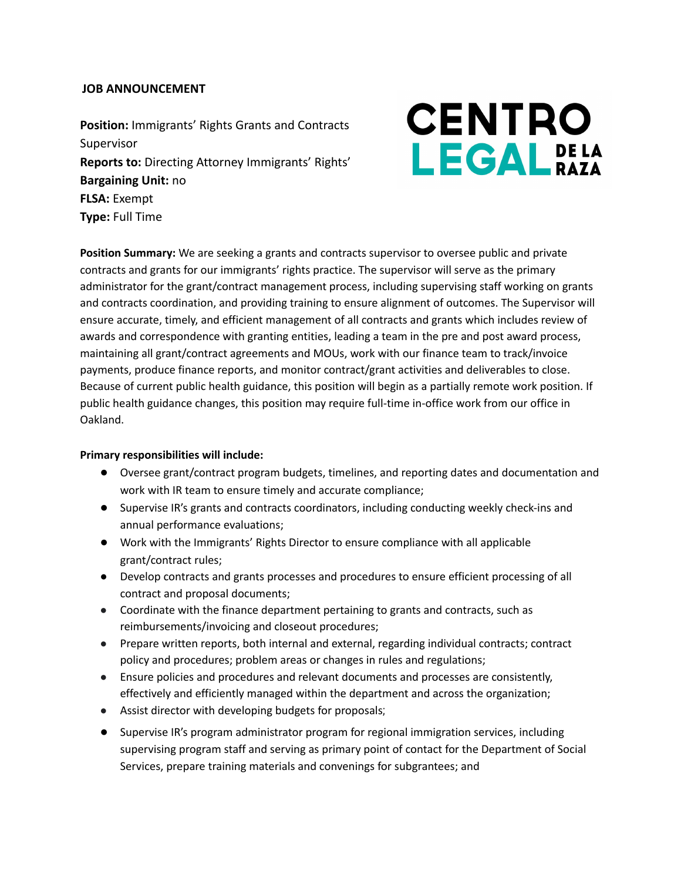# **JOB ANNOUNCEMENT**

**Position:** Immigrants' Rights Grants and Contracts Supervisor **Reports to:** Directing Attorney Immigrants' Rights' **Bargaining Unit:** no **FLSA:** Exempt **Type:** Full Time

# **CENTRO LEGAL** DELA

**Position Summary:** We are seeking a grants and contracts supervisor to oversee public and private contracts and grants for our immigrants' rights practice. The supervisor will serve as the primary administrator for the grant/contract management process, including supervising staff working on grants and contracts coordination, and providing training to ensure alignment of outcomes. The Supervisor will ensure accurate, timely, and efficient management of all contracts and grants which includes review of awards and correspondence with granting entities, leading a team in the pre and post award process, maintaining all grant/contract agreements and MOUs, work with our finance team to track/invoice payments, produce finance reports, and monitor contract/grant activities and deliverables to close. Because of current public health guidance, this position will begin as a partially remote work position. If public health guidance changes, this position may require full-time in-office work from our office in Oakland.

### **Primary responsibilities will include:**

- Oversee grant/contract program budgets, timelines, and reporting dates and documentation and work with IR team to ensure timely and accurate compliance;
- Supervise IR's grants and contracts coordinators, including conducting weekly check-ins and annual performance evaluations;
- Work with the Immigrants' Rights Director to ensure compliance with all applicable grant/contract rules;
- Develop contracts and grants processes and procedures to ensure efficient processing of all contract and proposal documents;
- Coordinate with the finance department pertaining to grants and contracts, such as reimbursements/invoicing and closeout procedures;
- Prepare written reports, both internal and external, regarding individual contracts; contract policy and procedures; problem areas or changes in rules and regulations;
- Ensure policies and procedures and relevant documents and processes are consistently, effectively and efficiently managed within the department and across the organization;
- Assist director with developing budgets for proposals;
- Supervise IR's program administrator program for regional immigration services, including supervising program staff and serving as primary point of contact for the Department of Social Services, prepare training materials and convenings for subgrantees; and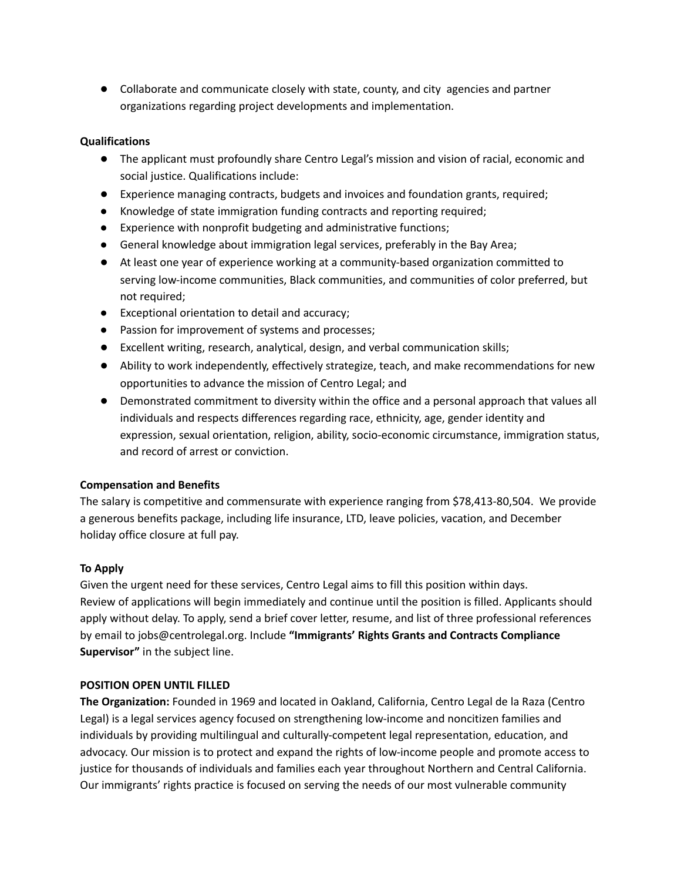● Collaborate and communicate closely with state, county, and city agencies and partner organizations regarding project developments and implementation.

# **Qualifications**

- The applicant must profoundly share Centro Legal's mission and vision of racial, economic and social justice. Qualifications include:
- Experience managing contracts, budgets and invoices and foundation grants, required;
- Knowledge of state immigration funding contracts and reporting required;
- Experience with nonprofit budgeting and administrative functions;
- General knowledge about immigration legal services, preferably in the Bay Area;
- At least one year of experience working at a community-based organization committed to serving low-income communities, Black communities, and communities of color preferred, but not required;
- Exceptional orientation to detail and accuracy;
- Passion for improvement of systems and processes;
- Excellent writing, research, analytical, design, and verbal communication skills;
- Ability to work independently, effectively strategize, teach, and make recommendations for new opportunities to advance the mission of Centro Legal; and
- Demonstrated commitment to diversity within the office and a personal approach that values all individuals and respects differences regarding race, ethnicity, age, gender identity and expression, sexual orientation, religion, ability, socio-economic circumstance, immigration status, and record of arrest or conviction.

# **Compensation and Benefits**

The salary is competitive and commensurate with experience ranging from \$78,413-80,504. We provide a generous benefits package, including life insurance, LTD, leave policies, vacation, and December holiday office closure at full pay.

# **To Apply**

Given the urgent need for these services, Centro Legal aims to fill this position within days. Review of applications will begin immediately and continue until the position is filled. Applicants should apply without delay. To apply, send a brief cover letter, resume, and list of three professional references by email to [jobs@centrolegal.org](mailto:jobs@centrolegal.org). Include **"Immigrants' Rights Grants and Contracts Compliance Supervisor"** in the subject line.

### **POSITION OPEN UNTIL FILLED**

**The Organization:** Founded in 1969 and located in Oakland, California, Centro Legal de la Raza (Centro Legal) is a legal services agency focused on strengthening low-income and noncitizen families and individuals by providing multilingual and culturally-competent legal representation, education, and advocacy. Our mission is to protect and expand the rights of low-income people and promote access to justice for thousands of individuals and families each year throughout Northern and Central California. Our immigrants' rights practice is focused on serving the needs of our most vulnerable community